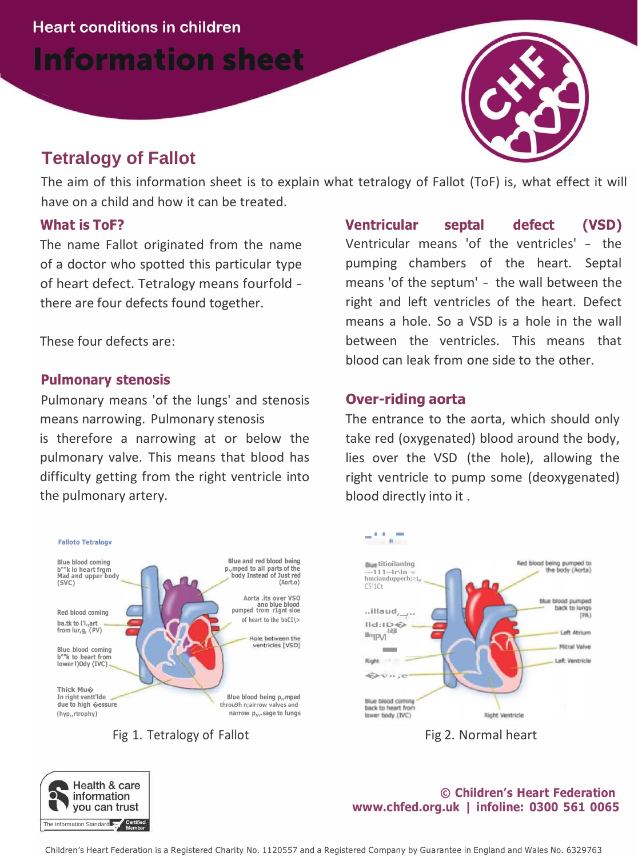**Information sheet** 

# **Tetralogy of Fallot**

The aim of this information sheet is to explain what tetralogy of Fallot (ToF) is, what effect it will have on a child and how it can be treated.

## **What is ToF?**

The name Fallot originated from the name of a doctor who spotted this particular type of heart defect. Tetralogy means fourfold there are four defects found together.

These four defects are:

# **Pulmonary stenosis**

Pulmonary means 'of the lungs' and stenosis means narrowing. Pulmonary stenosis is therefore a narrowing at or below the pulmonary valve. This means that blood has difficulty getting from the right ventricle into the pulmonary artery.







# **Over-riding aorta**

The entrance to the aorta, which should only take red (oxygenated) blood around the body, lies over the VSD (the hole), allowing the right ventricle to pump some (deoxygenated) blood directly into it .



Fig 2. Normal heart

#### **© Children's Heart Federation [www.chfed.org.uk](http://www.chfed.org.uk/) | infoline: 0300 561 0065**

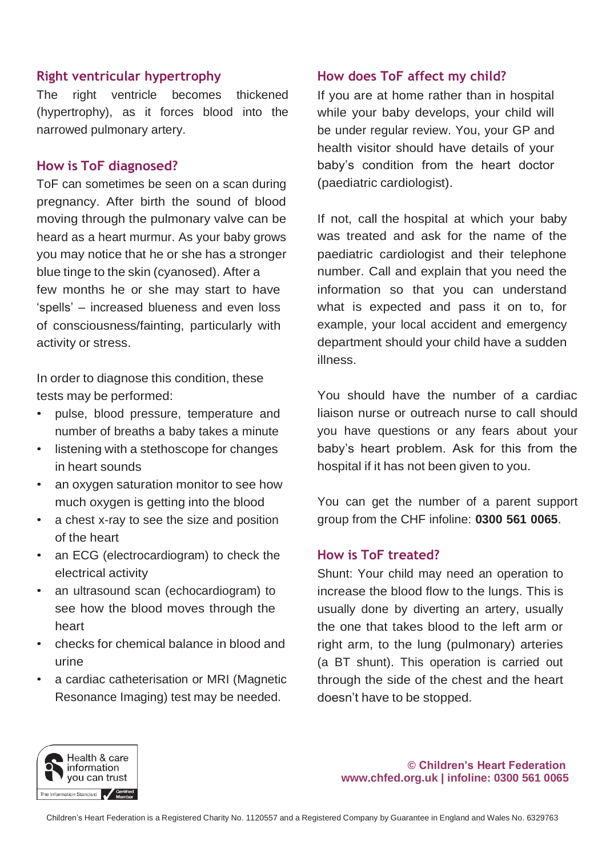# **Right ventricular hypertrophy**

The right ventricle becomes thickened (hypertrophy), as it forces blood into the narrowed pulmonary artery.

#### **How is ToF diagnosed?**

ToF can sometimes be seen on a scan during pregnancy. After birth the sound of blood moving through the pulmonary valve can be heard as a heart murmur. As your baby grows you may notice that he or she has a stronger blue tinge to the skin (cyanosed). After a few months he or she may start to have 'spells' – increased blueness and even loss of consciousness/fainting, particularly with activity or stress.

In order to diagnose this condition, these tests may be performed:

- pulse, blood pressure, temperature and number of breaths a baby takes a minute
- listening with a stethoscope for changes in heart sounds
- an oxygen saturation monitor to see how much oxygen is getting into the blood
- a chest x-ray to see the size and position of the heart
- an ECG (electrocardiogram) to check the electrical activity
- an ultrasound scan (echocardiogram) to see how the blood moves through the heart
- checks for chemical balance in blood and urine
- a cardiac catheterisation or MRI (Magnetic Resonance Imaging) test may be needed.

# **How does ToF affect my child?**

If you are at home rather than in hospital while your baby develops, your child will be under regular review. You, your GP and health visitor should have details of your baby's condition from the heart doctor (paediatric cardiologist).

If not, call the hospital at which your baby was treated and ask for the name of the paediatric cardiologist and their telephone number. Call and explain that you need the information so that you can understand what is expected and pass it on to, for example, your local accident and emergency department should your child have a sudden illness.

You should have the number of a cardiac liaison nurse or outreach nurse to call should you have questions or any fears about your baby's heart problem. Ask for this from the hospital if it has not been given to you.

You can get the number of a parent support group from the CHF infoline: **0300 561 0065**.

## **How is ToF treated?**

Shunt: Your child may need an operation to increase the blood flow to the lungs. This is usually done by diverting an artery, usually the one that takes blood to the left arm or right arm, to the lung (pulmonary) arteries (a BT shunt). This operation is carried out through the side of the chest and the heart doesn't have to be stopped.



**© Children's Heart Federation [www.chfed.org.uk](http://www.chfed.org.uk/) | infoline: 0300 561 0065**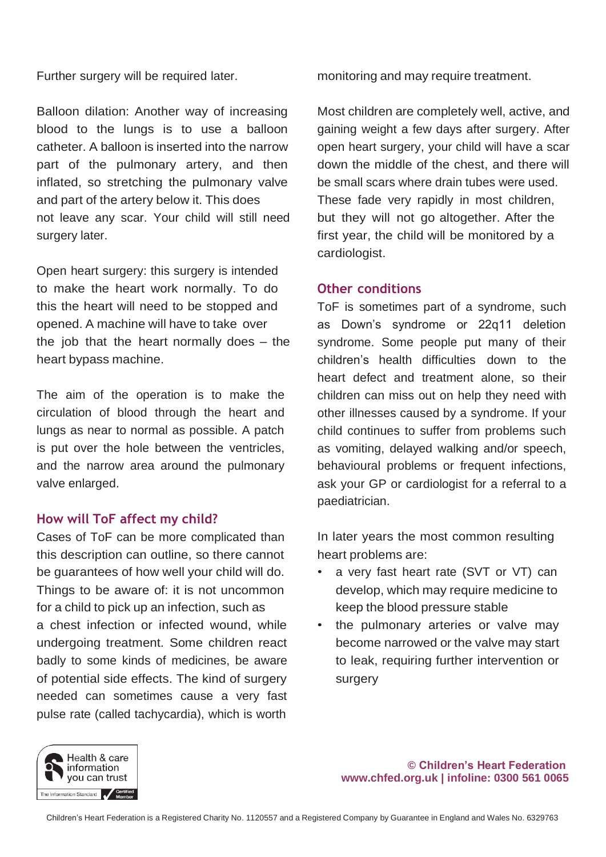Further surgery will be required later.

Balloon dilation: Another way of increasing blood to the lungs is to use a balloon catheter. A balloon is inserted into the narrow part of the pulmonary artery, and then inflated, so stretching the pulmonary valve and part of the artery below it. This does not leave any scar. Your child will still need surgery later.

Open heart surgery: this surgery is intended to make the heart work normally. To do this the heart will need to be stopped and opened. A machine will have to take over the job that the heart normally does – the heart bypass machine.

The aim of the operation is to make the circulation of blood through the heart and lungs as near to normal as possible. A patch is put over the hole between the ventricles, and the narrow area around the pulmonary valve enlarged.

# **How will ToF affect my child?**

Cases of ToF can be more complicated than this description can outline, so there cannot be guarantees of how well your child will do. Things to be aware of: it is not uncommon for a child to pick up an infection, such as a chest infection or infected wound, while undergoing treatment. Some children react badly to some kinds of medicines, be aware of potential side effects. The kind of surgery needed can sometimes cause a very fast pulse rate (called tachycardia), which is worth

monitoring and may require treatment.

Most children are completely well, active, and gaining weight a few days after surgery. After open heart surgery, your child will have a scar down the middle of the chest, and there will be small scars where drain tubes were used. These fade very rapidly in most children, but they will not go altogether. After the first year, the child will be monitored by a cardiologist.

## **Other conditions**

ToF is sometimes part of a syndrome, such as Down's syndrome or 22q11 deletion syndrome. Some people put many of their children's health difficulties down to the heart defect and treatment alone, so their children can miss out on help they need with other illnesses caused by a syndrome. If your child continues to suffer from problems such as vomiting, delayed walking and/or speech, behavioural problems or frequent infections, ask your GP or cardiologist for a referral to a paediatrician.

In later years the most common resulting heart problems are:

- a very fast heart rate (SVT or VT) can develop, which may require medicine to keep the blood pressure stable
- the pulmonary arteries or valve may become narrowed or the valve may start to leak, requiring further intervention or surgery





Children's Heart Federation is a Registered Charity No. 1120557 and a Registered Company by Guarantee in England and Wales No. 6329763